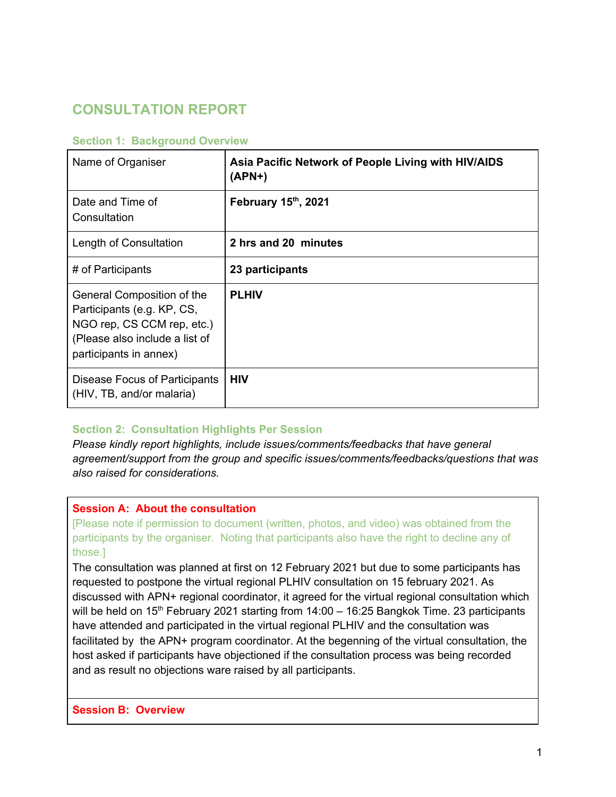# **CONSULTATION REPORT**

## **Section 1: Background Overview**

| Name of Organiser                                                                                                                                  | Asia Pacific Network of People Living with HIV/AIDS<br>$(APN+)$ |
|----------------------------------------------------------------------------------------------------------------------------------------------------|-----------------------------------------------------------------|
| Date and Time of<br>Consultation                                                                                                                   | February 15th, 2021                                             |
| Length of Consultation                                                                                                                             | 2 hrs and 20 minutes                                            |
| # of Participants                                                                                                                                  | 23 participants                                                 |
| General Composition of the<br>Participants (e.g. KP, CS,<br>NGO rep, CS CCM rep, etc.)<br>(Please also include a list of<br>participants in annex) | <b>PLHIV</b>                                                    |
| Disease Focus of Participants<br>(HIV, TB, and/or malaria)                                                                                         | <b>HIV</b>                                                      |

#### **Section 2: Consultation Highlights Per Session**

*Please kindly report highlights, include issues/comments/feedbacks that have general agreement/support from the group and specific issues/comments/feedbacks/questions that was also raised for considerations.* 

## **Session A: About the consultation**

[Please note if permission to document (written, photos, and video) was obtained from the participants by the organiser. Noting that participants also have the right to decline any of those.]

The consultation was planned at first on 12 February 2021 but due to some participants has requested to postpone the virtual regional PLHIV consultation on 15 february 2021. As discussed with APN+ regional coordinator, it agreed for the virtual regional consultation which will be held on 15<sup>th</sup> February 2021 starting from  $14:00 - 16:25$  Bangkok Time. 23 participants have attended and participated in the virtual regional PLHIV and the consultation was facilitated by the APN+ program coordinator. At the begenning of the virtual consultation, the host asked if participants have objectioned if the consultation process was being recorded and as result no objections ware raised by all participants.

**Session B: Overview**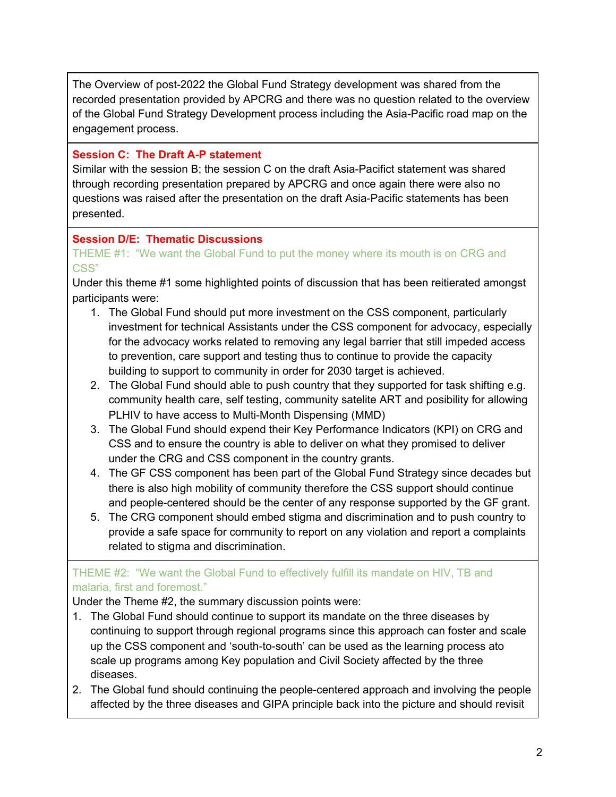The Overview of post-2022 the Global Fund Strategy development was shared from the recorded presentation provided by APCRG and there was no question related to the overview of the Global Fund Strategy Development process including the Asia-Pacific road map on the engagement process.

# **Session C: The Draft A-P statement**

Similar with the session B; the session C on the draft Asia-Pacifict statement was shared through recording presentation prepared by APCRG and once again there were also no questions was raised after the presentation on the draft Asia-Pacific statements has been presented.

# **Session D/E: Thematic Discussions**

## THEME #1: "We want the Global Fund to put the money where its mouth is on CRG and CSS"

Under this theme #1 some highlighted points of discussion that has been reitierated amongst participants were:

- 1. The Global Fund should put more investment on the CSS component, particularly investment for technical Assistants under the CSS component for advocacy, especially for the advocacy works related to removing any legal barrier that still impeded access to prevention, care support and testing thus to continue to provide the capacity building to support to community in order for 2030 target is achieved.
- 2. The Global Fund should able to push country that they supported for task shifting e.g. community health care, self testing, community satelite ART and posibility for allowing PLHIV to have access to Multi-Month Dispensing (MMD)
- 3. The Global Fund should expend their Key Performance Indicators (KPI) on CRG and CSS and to ensure the country is able to deliver on what they promised to deliver under the CRG and CSS component in the country grants.
- 4. The GF CSS component has been part of the Global Fund Strategy since decades but there is also high mobility of community therefore the CSS support should continue and people-centered should be the center of any response supported by the GF grant.
- 5. The CRG component should embed stigma and discrimination and to push country to provide a safe space for community to report on any violation and report a complaints related to stigma and discrimination.

# THEME #2: "We want the Global Fund to effectively fulfill its mandate on HIV, TB and malaria, first and foremost."

Under the Theme #2, the summary discussion points were:

- 1. The Global Fund should continue to support its mandate on the three diseases by continuing to support through regional programs since this approach can foster and scale up the CSS component and 'south-to-south' can be used as the learning process ato scale up programs among Key population and Civil Society affected by the three diseases.
- 2. The Global fund should continuing the people-centered approach and involving the people affected by the three diseases and GIPA principle back into the picture and should revisit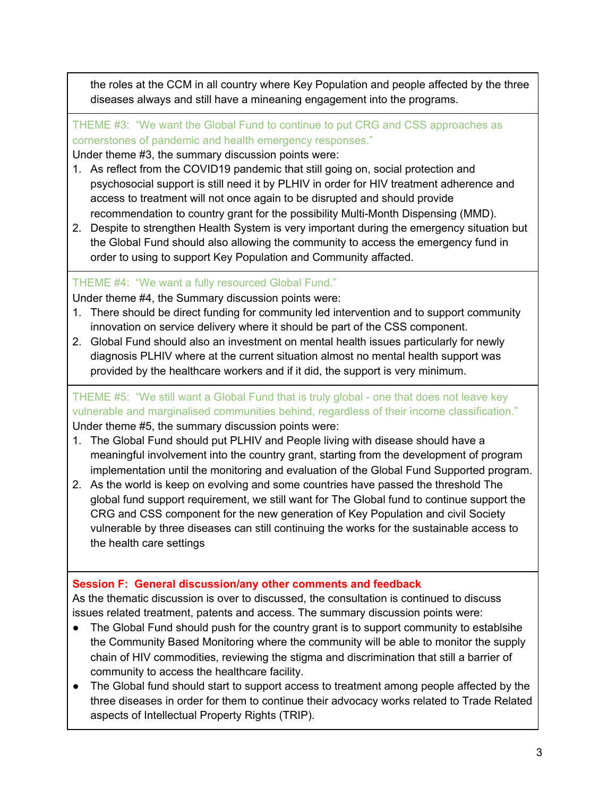the roles at the CCM in all country where Key Population and people affected by the three diseases always and still have a mineaning engagement into the programs.

THEME #3: "We want the Global Fund to continue to put CRG and CSS approaches as cornerstones of pandemic and health emergency responses."

Under theme #3, the summary discussion points were:

- 1. As reflect from the COVID19 pandemic that still going on, social protection and psychosocial support is still need it by PLHIV in order for HIV treatment adherence and access to treatment will not once again to be disrupted and should provide recommendation to country grant for the possibility Multi-Month Dispensing (MMD).
- 2. Despite to strengthen Health System is very important during the emergency situation but the Global Fund should also allowing the community to access the emergency fund in order to using to support Key Population and Community affacted.

# THEME #4: "We want a fully resourced Global Fund."

Under theme #4, the Summary discussion points were:

- 1. There should be direct funding for community led intervention and to support community innovation on service delivery where it should be part of the CSS component.
- 2. Global Fund should also an investment on mental health issues particularly for newly diagnosis PLHIV where at the current situation almost no mental health support was provided by the healthcare workers and if it did, the support is very minimum.

THEME #5: "We still want a Global Fund that is truly global - one that does not leave key vulnerable and marginalised communities behind, regardless of their income classification." Under theme #5, the summary discussion points were:

- 1. The Global Fund should put PLHIV and People living with disease should have a meaningful involvement into the country grant, starting from the development of program implementation until the monitoring and evaluation of the Global Fund Supported program.
- 2. As the world is keep on evolving and some countries have passed the threshold The global fund support requirement, we still want for The Global fund to continue support the CRG and CSS component for the new generation of Key Population and civil Society vulnerable by three diseases can still continuing the works for the sustainable access to the health care settings

## **Session F: General discussion/any other comments and feedback**

As the thematic discussion is over to discussed, the consultation is continued to discuss issues related treatment, patents and access. The summary discussion points were:

- The Global Fund should push for the country grant is to support community to establsihe the Community Based Monitoring where the community will be able to monitor the supply chain of HIV commodities, reviewing the stigma and discrimination that still a barrier of community to access the healthcare facility.
- The Global fund should start to support access to treatment among people affected by the three diseases in order for them to continue their advocacy works related to Trade Related aspects of Intellectual Property Rights (TRIP).